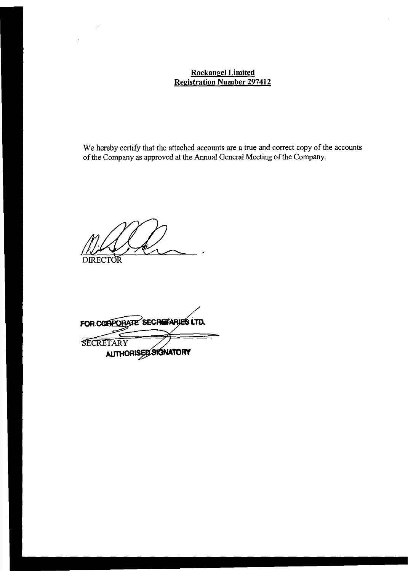### **Rockangel Limited Registration Number 297412**

We hereby certify that the attached accounts are a true and correct copy of the accounts of the Company as approved at the Annual General Meeting of the Company.

**DIRECTOR** 

 $\mathcal{P}$ 

SECRETARY **ALITHORISED SIGNATORY** FOR CORPORATE SECRETARIES LTD.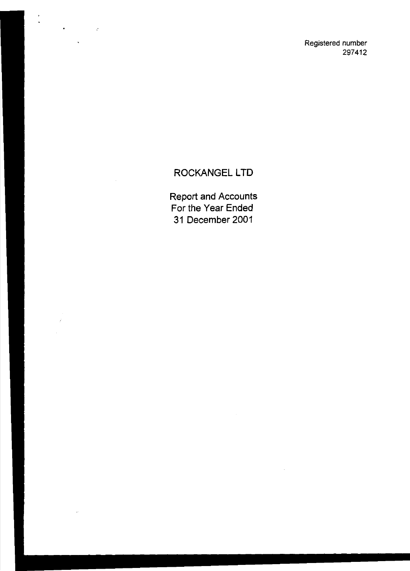Registered number 297412

# ROCKANGEL LTD

 $\frac{1}{2}$ 

 $\bullet$ 

 $\mathcal{L}^{\text{max}}_{\text{max}}$  and  $\mathcal{L}^{\text{max}}_{\text{max}}$ 

 $\ddot{\phantom{0}}$ 

 $\ddot{\phantom{a}}$ 

Report and Accounts For the Year Ended 31 December 2001

 $\bar{z}$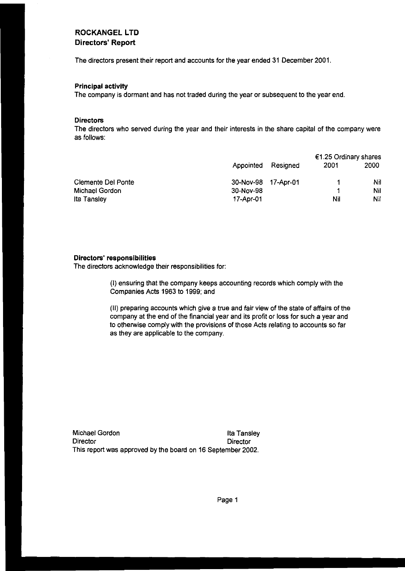#### **ROCKANGEL LTD Directors' Report**

The directors present their report and accounts for the year ended 31 December 2001.

#### **Principal activity**

The company is dormant and has not traded during the year or subsequent to the year end.

#### **Directors**

The directors who served during the year and their interests in the share capital of the company were as follows:

|                           |                     | €1.25 Ordinary shares |      |      |
|---------------------------|---------------------|-----------------------|------|------|
|                           | Appointed           | Resianed              | 2001 | 2000 |
| <b>Clemente Del Ponte</b> | 30-Nov-98 17-Apr-01 |                       |      | Nil  |
| Michael Gordon            | 30-Nov-98           |                       |      | Nil  |
| Ita Tansley               | 17-Apr-01           |                       | Nil  | Nil  |

#### **Directors' responsibilities**

The directors acknowledge their responsibilities for:

(I) ensuring that the company keeps accounting records which comply with the Companies Acts 1963 to 1999; and

(II) preparing accounts which give a true and fair view of the state of affairs of the company at the end of the financial year and its profit or loss for such a year and to otherwise comply with the provisions of those Acts relating to accounts so far as they are applicable to the company.

Michael Gordon **Ila Tansley** Director **Director** Director This report was approved by the board on 16 September 2002.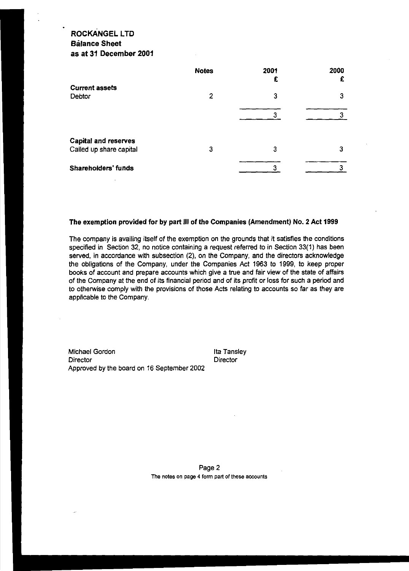### **ROCKANGEL LTD Balance Sheet as at 31 December 2001**

|                                                        | <b>Notes</b> | 2001<br>£ | 2000<br>£ |
|--------------------------------------------------------|--------------|-----------|-----------|
| <b>Current assets</b><br>Debtor                        | 2            | 3         | 3         |
|                                                        |              |           |           |
| <b>Capital and reserves</b><br>Called up share capital | 3            | З         | З         |
| Shareholders' funds                                    |              |           |           |

#### **The exemption provided for by part Ill of the Companies (Amendment) No. 2 Act 1999**

The company is availing itself of the exemption on the grounds that it satisfies the conditions specified in Section 32, no notice containing a request referred to in Section 33(1) has been served, in accordance with subsection (2), on the Company, and the directors acknowledge the obligations of the Company, under the Companies Act 1963 to 1999, to keep proper books of account and prepare accounts which give a true and fair view of the state of affairs of the Company at the end of its financial period and of its profit or loss for such a period and to otherwise comply with the provisions of those Acts relating to accounts so far as they are applicable to the Company.

Michael Gordon **Director** Approved by the board on 16 September 2002 lta Tansley **Director** 

Page 2 **The notes on page 4 form part of these accounts**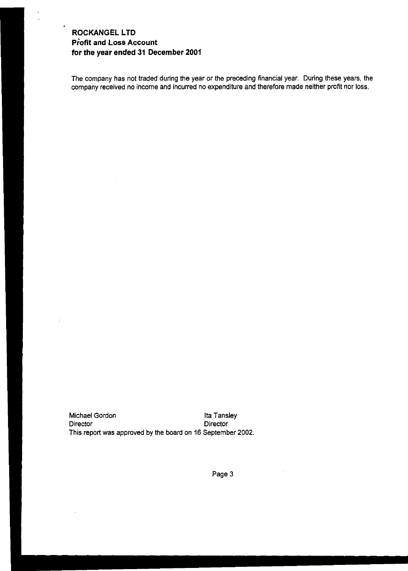### **ROCKANGEL LTD Profit and Loss Account for the year ended 31 December 2001**

÷,

The company has not traded during the year or the preceding financial year. During these years, the company received no income and incurred no expenditure and therefore made neither profit nor loss.

Michael Gordon **Ila Tansley** Director Director This report was approved by the board on 16 September 2002.

Page 3